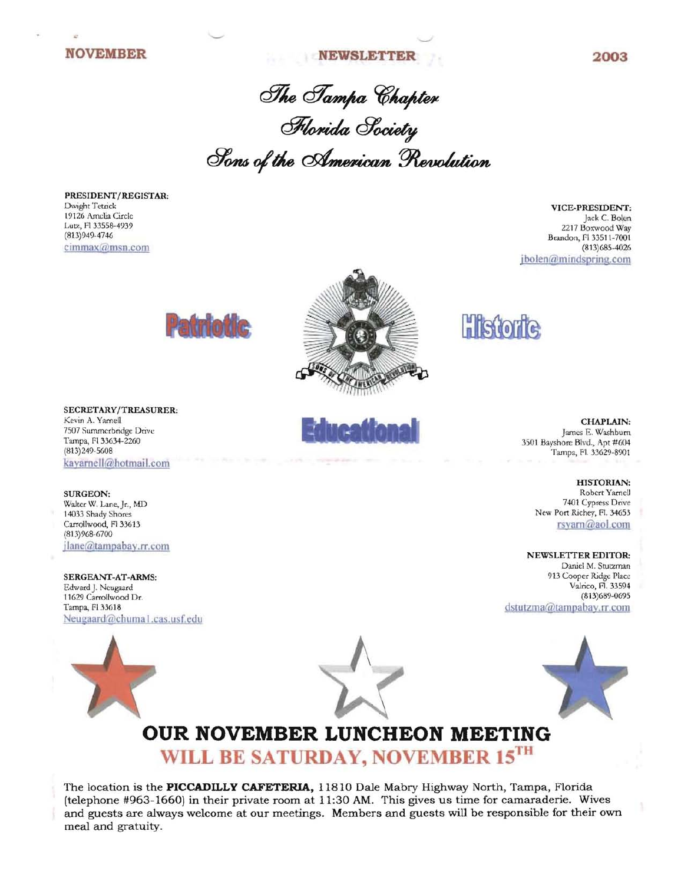### **NOVEMBER 2003**

The Sampa Chapter Horida Society ~OIr6o/lAe

PRESIDENT/REGISTAR: Dwight Tetrick 19126 Amelia Circle Lutz, Fl 33558-4939 (813)949-4746 cimmax@msn.com

VICE-PRESIDENT: Jack C. Bolen 2217 Boxwood Way Brandon, FI33511-7001 (813) 685-4026 jbolen@mindspring.com





SURGEON: Walter W. Lane, Jr., MD 14033 Shady Shores Carrollwood, Fl 33613 (813)968-6700 jlane@tampabay.rr.com

SERGEANT-AT-ARMS: 913 Cooper Ridge Place<br>Edward J. Neugaard Valrico, Fl. 33594 Edward J. Neugaard VaJrico, Fl. 33594 11629 Carrollwood Dr. Tampa, FI 33618 dstutzma@tampabay.rr.com Neugaard@chuma I.cas.usf.edu



# **OUR NOVEMBER LUNCHEON MEETING WILL BE SATURDAY, NOVEMBER 15TH**

The location is the **PICCADILLY CAFETERIA,** 11810 Dale Mabry Highway North, Tampa, Florida (telephone #963-1660) in their private room at 11:30 AM. This gives us time for camaraderie. Wives and guests are always welcome at our meetings. Members and guests will be responsible for their own meal and gratuity.

(813)249-5608 Tampa, fl 33629-8901

HISTORIAN: Robert Yarnell 7401 Cypress Drive New Port Richey, Fl. 34653 rsyarn@aol.com

NEWSLETTER EDITOR: Daniel M. Stutzman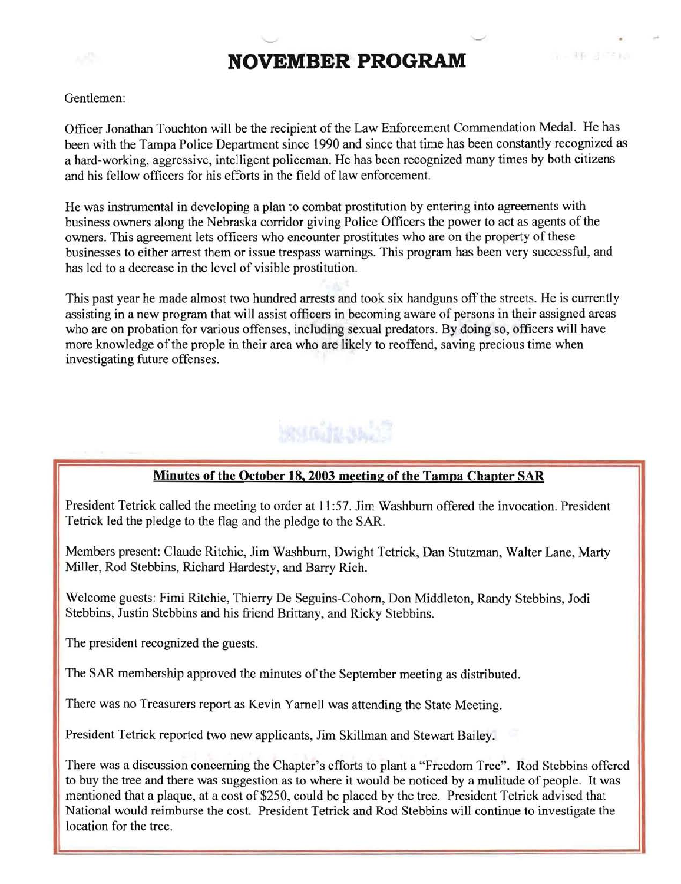## **NOVEMBER PROGRAM**

유 - 1위 경우 1회

### Gentlemen:

Officer Jonathan Touchton will be the recipient of the Law Enforcement Commendation Medal. He has been with the Tampa Police Department since 1990 and since that time has been constantly recognized as a hard-working, aggressive, intelligent policeman. He has been recognized many times by both citizens and his fellow officers for his efforts in the field of law enforcement.

He was instrumental in developing a plan to combat prostitution by entering into agreements with business owners along the Nebraska corridor giving Police Officers the power to act as agents of the owners. This agreement lets officers who encounter prostitutes who are on the property of these businesses to either arrest them or issue trespass warnings. This program has been very successful, and has led to a decrease in the level of visible prostitution.

This past year he made almost two hundred arrests and took six handguns off the streets. He is currently assisting in a new program that will assist officers in becoming aware of persons in their assigned areas who are on probation for various offenses, including sexual predators. By doing so, officers will have more knowledge of the prople in their area who are likely to reoffend, saving precious time when investigating future offenses.

# **RAIGHTAN**

### **Minutes of the October 18, 2003 meeting of the Tampa Chapter** 8AR

President Tetrick called the meeting to order at 11 :57. Jim Washburn offered the invocation. President Tetrick led the pledge to the flag and the pledge to the SAR.

Members present: Claude Ritchie, Jim Washburn, Dwight Tetrick, Dan Stutzman, Walter Lane, Marty Miller, Rod Stebbins, Richard Hardesty, and Barry Rich.

Welcome guests: Fimi Ritchie, Thierry De Seguins-Cohorn, Don Middleton, Randy Stebbins, Jodi Stebbins, Justin Stebbins and his friend Brittany, and Ricky Stebbins.

The president recognized the guests.

The SAR membership approved the minutes of the September meeting as distributed.

There was no Treasurers report as Kevin Yamell was attending the State Meeting.

President Tetrick reported two new applicants, Jim Skillman and Stewart Bailey.

There was a discussion concerning the Chapter's efforts to plant a "Freedom Tree". Rod Stebbins offered to buy the tree and there was suggestion as to where it would be noticed by a mulitude of people. It was mentioned that a plaque, at a cost of \$250, could be placed by the tree. President Tetrick advised that National would reimburse the cost. President Tetrick and Rod Stebbins will continue to investigate the location for the tree.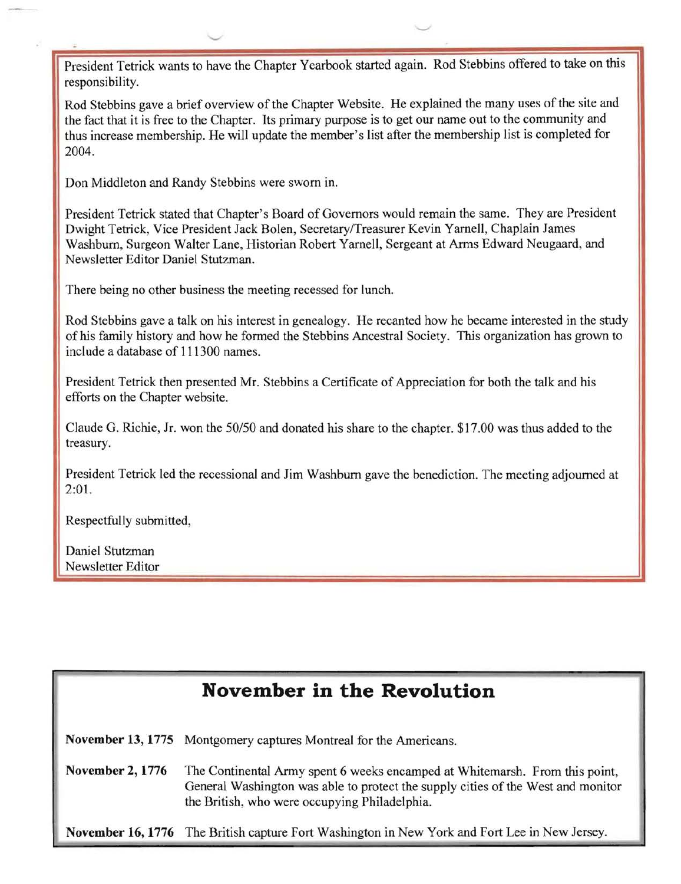President Tetrick wants to have the Chapter Yearbook started again. Rod Stebbins offered to take on this responsibility.

Rod Stebbins gave a brief overview of the Chapter Website. He explained the many uses of the site and the fact that it is free to the Chapter. Its primary purpose is to get our name out to the community and thus increase membership. He will update the member's Jist after the membership list is completed for 2004.

Don Middleton and Randy Stebbins were sworn in.

-

President Tetrick stated that Chapter's Board of Governors would remain the same. They are President Dwight Tetrick, Vice President Jack Bolen, SecretarylTreasurer Kevin Yarnell, Chaplain James Washburn, Surgeon Walter Lane, Historian Robert Yarnell, Sergeant at Arms Edward Neugaard, and Newsletter Editor Daniel Stutzman.

There being no other business the meeting recessed for lunch.

Rod Stebbins gave a talk on his interest in genealogy. He recanted how he became interested in the study of his family history and how he formed the Stebbins Ancestral Society. This organization has grown to include a database of 111300 names.

President Tetrick then presented Mr. Stebbins a Certificate of Appreciation for both the talk and his efforts on the Chapter website.

Claude G. Richie, Jr. won the *50/50* and donated his share to the chapter. \$17.00 was thus added to the treasury.

President Tetrick led the recessional and Jim Washburn gave the benediction. The meeting adjourned at 2:01.

Respectfully submitted,

Daniel Stutzman Newsletter Editor

## **November in the Revolution**

**November 13, 1775** Montgomery captures Montreal for the Americans.

..,.,

**November 2, 1776** The Continental Army spent 6 weeks encamped at Whitemarsh. From this point, General Washington was able to protect the supply cities of the West and monitor the British, who were occupying Philadelphia.

**November 16, 1776** The British capture Fort Washington in New York and Fort Lee in New Jersey.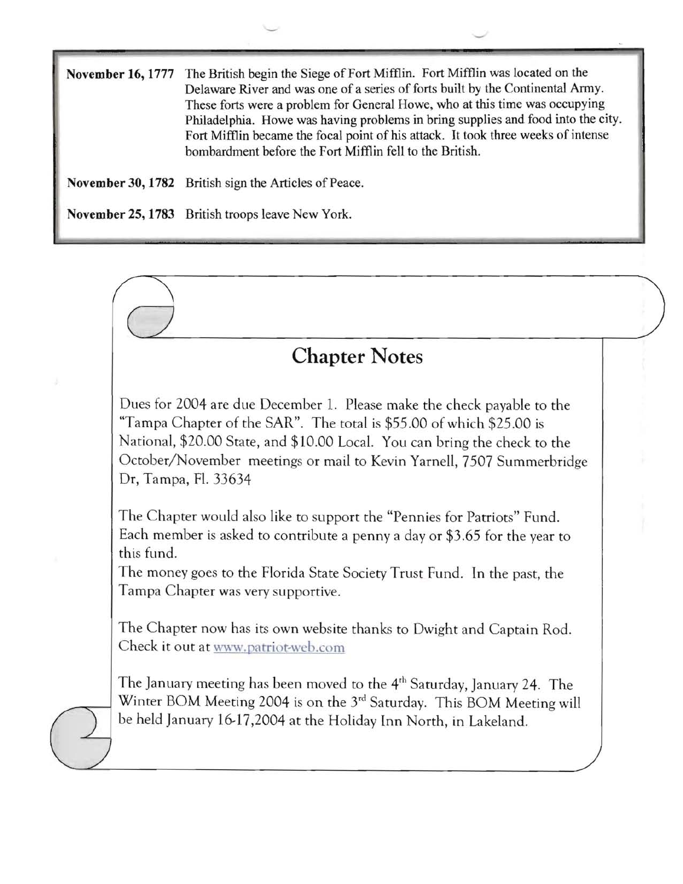November 16,1777 The British begin the Siege of Fort Mifflin. Fort Mifflin was located on the Delaware River and was one of a series of forts built by the Continental Army. These forts were a problem for General Howe, who at this time was occupying Philadelphia. Howe was having problems in bring supplies and food into the city. Fort Mifflin became the focal point of his attack. It took three weeks of intense bombardment before the Fort Mifflin fell to the British.

November 30, 1782 British sign the Articles of Peace.

-

November 25, 1783 British troops leave New York.